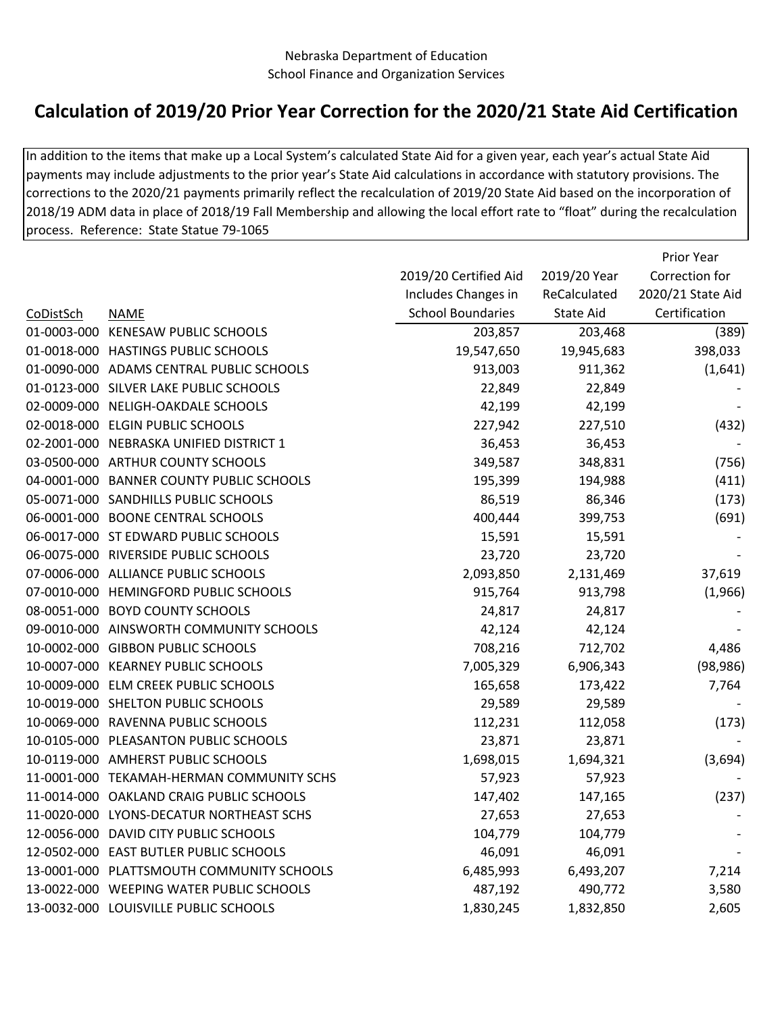## **Calculation of 2019/20 Prior Year Correction for the 2020/21 State Aid Certification**

In addition to the items that make up a Local System's calculated State Aid for a given year, each year's actual State Aid payments may include adjustments to the prior year's State Aid calculations in accordance with statutory provisions. The corrections to the 2020/21 payments primarily reflect the recalculation of 2019/20 State Aid based on the incorporation of 2018/19 ADM data in place of 2018/19 Fall Membership and allowing the local effort rate to "float" during the recalculation process. Reference: State Statue 79‐1065

|                               |                                                                                                                                                                                                                                                                                                                                                                                                                                                                                                                                                                                                                                                                                                                                                                                                                                                                                                                                                                                                                                                                                                                                                                                                                                                                                                                   |                  | Prior Year        |
|-------------------------------|-------------------------------------------------------------------------------------------------------------------------------------------------------------------------------------------------------------------------------------------------------------------------------------------------------------------------------------------------------------------------------------------------------------------------------------------------------------------------------------------------------------------------------------------------------------------------------------------------------------------------------------------------------------------------------------------------------------------------------------------------------------------------------------------------------------------------------------------------------------------------------------------------------------------------------------------------------------------------------------------------------------------------------------------------------------------------------------------------------------------------------------------------------------------------------------------------------------------------------------------------------------------------------------------------------------------|------------------|-------------------|
|                               | 2019/20 Certified Aid                                                                                                                                                                                                                                                                                                                                                                                                                                                                                                                                                                                                                                                                                                                                                                                                                                                                                                                                                                                                                                                                                                                                                                                                                                                                                             | 2019/20 Year     | Correction for    |
|                               | Includes Changes in                                                                                                                                                                                                                                                                                                                                                                                                                                                                                                                                                                                                                                                                                                                                                                                                                                                                                                                                                                                                                                                                                                                                                                                                                                                                                               | ReCalculated     | 2020/21 State Aid |
| <b>NAME</b>                   | <b>School Boundaries</b>                                                                                                                                                                                                                                                                                                                                                                                                                                                                                                                                                                                                                                                                                                                                                                                                                                                                                                                                                                                                                                                                                                                                                                                                                                                                                          | <b>State Aid</b> | Certification     |
| <b>KENESAW PUBLIC SCHOOLS</b> | 203,857                                                                                                                                                                                                                                                                                                                                                                                                                                                                                                                                                                                                                                                                                                                                                                                                                                                                                                                                                                                                                                                                                                                                                                                                                                                                                                           | 203,468          | (389)             |
|                               | 19,547,650                                                                                                                                                                                                                                                                                                                                                                                                                                                                                                                                                                                                                                                                                                                                                                                                                                                                                                                                                                                                                                                                                                                                                                                                                                                                                                        | 19,945,683       | 398,033           |
|                               | 913,003                                                                                                                                                                                                                                                                                                                                                                                                                                                                                                                                                                                                                                                                                                                                                                                                                                                                                                                                                                                                                                                                                                                                                                                                                                                                                                           | 911,362          | (1,641)           |
|                               | 22,849                                                                                                                                                                                                                                                                                                                                                                                                                                                                                                                                                                                                                                                                                                                                                                                                                                                                                                                                                                                                                                                                                                                                                                                                                                                                                                            | 22,849           |                   |
|                               | 42,199                                                                                                                                                                                                                                                                                                                                                                                                                                                                                                                                                                                                                                                                                                                                                                                                                                                                                                                                                                                                                                                                                                                                                                                                                                                                                                            | 42,199           |                   |
|                               | 227,942                                                                                                                                                                                                                                                                                                                                                                                                                                                                                                                                                                                                                                                                                                                                                                                                                                                                                                                                                                                                                                                                                                                                                                                                                                                                                                           | 227,510          | (432)             |
|                               | 36,453                                                                                                                                                                                                                                                                                                                                                                                                                                                                                                                                                                                                                                                                                                                                                                                                                                                                                                                                                                                                                                                                                                                                                                                                                                                                                                            | 36,453           |                   |
|                               | 349,587                                                                                                                                                                                                                                                                                                                                                                                                                                                                                                                                                                                                                                                                                                                                                                                                                                                                                                                                                                                                                                                                                                                                                                                                                                                                                                           | 348,831          | (756)             |
|                               | 195,399                                                                                                                                                                                                                                                                                                                                                                                                                                                                                                                                                                                                                                                                                                                                                                                                                                                                                                                                                                                                                                                                                                                                                                                                                                                                                                           | 194,988          | (411)             |
|                               | 86,519                                                                                                                                                                                                                                                                                                                                                                                                                                                                                                                                                                                                                                                                                                                                                                                                                                                                                                                                                                                                                                                                                                                                                                                                                                                                                                            | 86,346           | (173)             |
|                               | 400,444                                                                                                                                                                                                                                                                                                                                                                                                                                                                                                                                                                                                                                                                                                                                                                                                                                                                                                                                                                                                                                                                                                                                                                                                                                                                                                           | 399,753          | (691)             |
|                               | 15,591                                                                                                                                                                                                                                                                                                                                                                                                                                                                                                                                                                                                                                                                                                                                                                                                                                                                                                                                                                                                                                                                                                                                                                                                                                                                                                            | 15,591           |                   |
|                               | 23,720                                                                                                                                                                                                                                                                                                                                                                                                                                                                                                                                                                                                                                                                                                                                                                                                                                                                                                                                                                                                                                                                                                                                                                                                                                                                                                            | 23,720           |                   |
|                               | 2,093,850                                                                                                                                                                                                                                                                                                                                                                                                                                                                                                                                                                                                                                                                                                                                                                                                                                                                                                                                                                                                                                                                                                                                                                                                                                                                                                         | 2,131,469        | 37,619            |
|                               | 915,764                                                                                                                                                                                                                                                                                                                                                                                                                                                                                                                                                                                                                                                                                                                                                                                                                                                                                                                                                                                                                                                                                                                                                                                                                                                                                                           | 913,798          | (1,966)           |
|                               | 24,817                                                                                                                                                                                                                                                                                                                                                                                                                                                                                                                                                                                                                                                                                                                                                                                                                                                                                                                                                                                                                                                                                                                                                                                                                                                                                                            | 24,817           |                   |
|                               | 42,124                                                                                                                                                                                                                                                                                                                                                                                                                                                                                                                                                                                                                                                                                                                                                                                                                                                                                                                                                                                                                                                                                                                                                                                                                                                                                                            | 42,124           |                   |
|                               | 708,216                                                                                                                                                                                                                                                                                                                                                                                                                                                                                                                                                                                                                                                                                                                                                                                                                                                                                                                                                                                                                                                                                                                                                                                                                                                                                                           | 712,702          | 4,486             |
|                               | 7,005,329                                                                                                                                                                                                                                                                                                                                                                                                                                                                                                                                                                                                                                                                                                                                                                                                                                                                                                                                                                                                                                                                                                                                                                                                                                                                                                         | 6,906,343        | (98, 986)         |
|                               | 165,658                                                                                                                                                                                                                                                                                                                                                                                                                                                                                                                                                                                                                                                                                                                                                                                                                                                                                                                                                                                                                                                                                                                                                                                                                                                                                                           | 173,422          | 7,764             |
|                               | 29,589                                                                                                                                                                                                                                                                                                                                                                                                                                                                                                                                                                                                                                                                                                                                                                                                                                                                                                                                                                                                                                                                                                                                                                                                                                                                                                            | 29,589           |                   |
|                               | 112,231                                                                                                                                                                                                                                                                                                                                                                                                                                                                                                                                                                                                                                                                                                                                                                                                                                                                                                                                                                                                                                                                                                                                                                                                                                                                                                           | 112,058          | (173)             |
|                               | 23,871                                                                                                                                                                                                                                                                                                                                                                                                                                                                                                                                                                                                                                                                                                                                                                                                                                                                                                                                                                                                                                                                                                                                                                                                                                                                                                            | 23,871           |                   |
|                               | 1,698,015                                                                                                                                                                                                                                                                                                                                                                                                                                                                                                                                                                                                                                                                                                                                                                                                                                                                                                                                                                                                                                                                                                                                                                                                                                                                                                         | 1,694,321        | (3,694)           |
|                               | 57,923                                                                                                                                                                                                                                                                                                                                                                                                                                                                                                                                                                                                                                                                                                                                                                                                                                                                                                                                                                                                                                                                                                                                                                                                                                                                                                            | 57,923           |                   |
|                               | 147,402                                                                                                                                                                                                                                                                                                                                                                                                                                                                                                                                                                                                                                                                                                                                                                                                                                                                                                                                                                                                                                                                                                                                                                                                                                                                                                           | 147,165          | (237)             |
|                               | 27,653                                                                                                                                                                                                                                                                                                                                                                                                                                                                                                                                                                                                                                                                                                                                                                                                                                                                                                                                                                                                                                                                                                                                                                                                                                                                                                            | 27,653           |                   |
|                               | 104,779                                                                                                                                                                                                                                                                                                                                                                                                                                                                                                                                                                                                                                                                                                                                                                                                                                                                                                                                                                                                                                                                                                                                                                                                                                                                                                           | 104,779          |                   |
|                               | 46,091                                                                                                                                                                                                                                                                                                                                                                                                                                                                                                                                                                                                                                                                                                                                                                                                                                                                                                                                                                                                                                                                                                                                                                                                                                                                                                            | 46,091           |                   |
|                               | 6,485,993                                                                                                                                                                                                                                                                                                                                                                                                                                                                                                                                                                                                                                                                                                                                                                                                                                                                                                                                                                                                                                                                                                                                                                                                                                                                                                         | 6,493,207        | 7,214             |
|                               | 487,192                                                                                                                                                                                                                                                                                                                                                                                                                                                                                                                                                                                                                                                                                                                                                                                                                                                                                                                                                                                                                                                                                                                                                                                                                                                                                                           | 490,772          | 3,580             |
|                               | 1,830,245                                                                                                                                                                                                                                                                                                                                                                                                                                                                                                                                                                                                                                                                                                                                                                                                                                                                                                                                                                                                                                                                                                                                                                                                                                                                                                         | 1,832,850        | 2,605             |
|                               | 01-0003-000<br>01-0018-000 HASTINGS PUBLIC SCHOOLS<br>01-0090-000 ADAMS CENTRAL PUBLIC SCHOOLS<br>01-0123-000 SILVER LAKE PUBLIC SCHOOLS<br>02-0009-000 NELIGH-OAKDALE SCHOOLS<br>02-0018-000 ELGIN PUBLIC SCHOOLS<br>02-2001-000 NEBRASKA UNIFIED DISTRICT 1<br>03-0500-000 ARTHUR COUNTY SCHOOLS<br>04-0001-000 BANNER COUNTY PUBLIC SCHOOLS<br>05-0071-000 SANDHILLS PUBLIC SCHOOLS<br>06-0001-000 BOONE CENTRAL SCHOOLS<br>06-0017-000 ST EDWARD PUBLIC SCHOOLS<br>06-0075-000 RIVERSIDE PUBLIC SCHOOLS<br>07-0006-000 ALLIANCE PUBLIC SCHOOLS<br>07-0010-000 HEMINGFORD PUBLIC SCHOOLS<br>08-0051-000 BOYD COUNTY SCHOOLS<br>09-0010-000 AINSWORTH COMMUNITY SCHOOLS<br>10-0002-000 GIBBON PUBLIC SCHOOLS<br>10-0007-000 KEARNEY PUBLIC SCHOOLS<br>10-0009-000 ELM CREEK PUBLIC SCHOOLS<br>10-0019-000 SHELTON PUBLIC SCHOOLS<br>10-0069-000 RAVENNA PUBLIC SCHOOLS<br>10-0105-000 PLEASANTON PUBLIC SCHOOLS<br>10-0119-000 AMHERST PUBLIC SCHOOLS<br>11-0001-000 TEKAMAH-HERMAN COMMUNITY SCHS<br>11-0014-000 OAKLAND CRAIG PUBLIC SCHOOLS<br>11-0020-000 LYONS-DECATUR NORTHEAST SCHS<br>12-0056-000 DAVID CITY PUBLIC SCHOOLS<br>12-0502-000 EAST BUTLER PUBLIC SCHOOLS<br>13-0001-000 PLATTSMOUTH COMMUNITY SCHOOLS<br>13-0022-000 WEEPING WATER PUBLIC SCHOOLS<br>13-0032-000 LOUISVILLE PUBLIC SCHOOLS |                  |                   |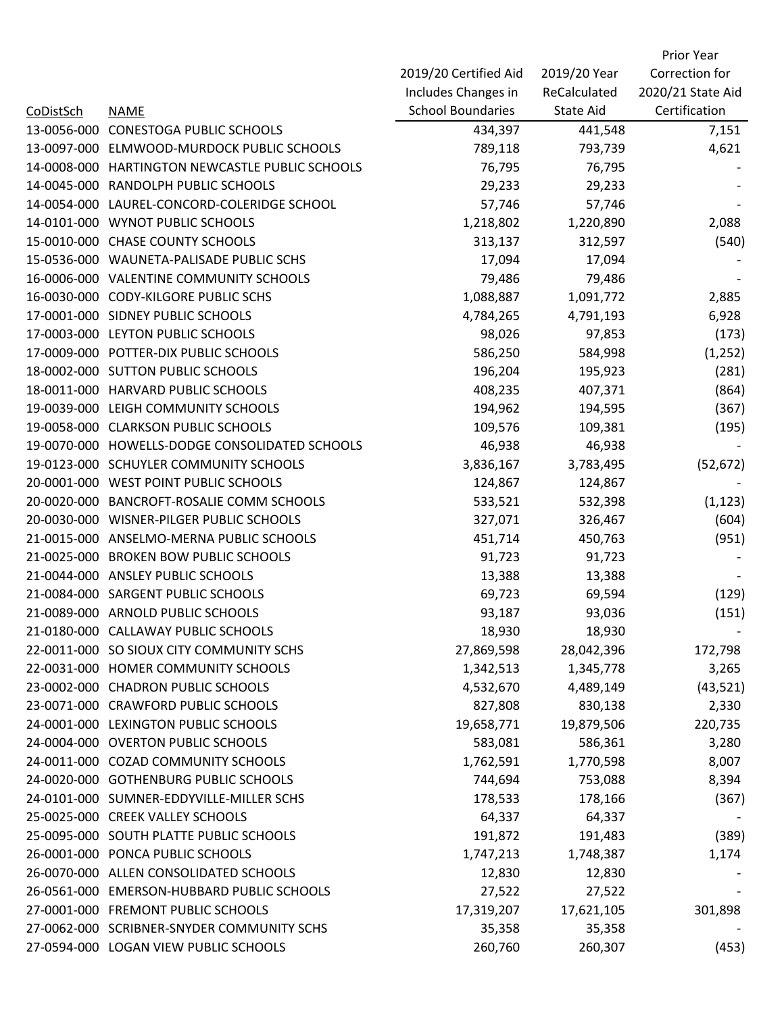|                  |                                            |                          |              | Prior Year        |
|------------------|--------------------------------------------|--------------------------|--------------|-------------------|
|                  |                                            | 2019/20 Certified Aid    | 2019/20 Year | Correction for    |
|                  |                                            | Includes Changes in      | ReCalculated | 2020/21 State Aid |
| <b>CoDistSch</b> | <b>NAME</b>                                | <b>School Boundaries</b> | State Aid    | Certification     |
| 13-0056-000      | <b>CONESTOGA PUBLIC SCHOOLS</b>            | 434,397                  | 441,548      | 7,151             |
| 13-0097-000      | ELMWOOD-MURDOCK PUBLIC SCHOOLS             | 789,118                  | 793,739      | 4,621             |
| 14-0008-000      | HARTINGTON NEWCASTLE PUBLIC SCHOOLS        | 76,795                   | 76,795       |                   |
|                  | 14-0045-000 RANDOLPH PUBLIC SCHOOLS        | 29,233                   | 29,233       |                   |
| 14-0054-000      | LAUREL-CONCORD-COLERIDGE SCHOOL            | 57,746                   | 57,746       |                   |
|                  | 14-0101-000 WYNOT PUBLIC SCHOOLS           | 1,218,802                | 1,220,890    | 2,088             |
|                  | 15-0010-000 CHASE COUNTY SCHOOLS           | 313,137                  | 312,597      | (540)             |
|                  | 15-0536-000 WAUNETA-PALISADE PUBLIC SCHS   | 17,094                   | 17,094       |                   |
|                  | 16-0006-000 VALENTINE COMMUNITY SCHOOLS    | 79,486                   | 79,486       |                   |
|                  | 16-0030-000 CODY-KILGORE PUBLIC SCHS       | 1,088,887                | 1,091,772    | 2,885             |
|                  | 17-0001-000 SIDNEY PUBLIC SCHOOLS          | 4,784,265                | 4,791,193    | 6,928             |
|                  | 17-0003-000 LEYTON PUBLIC SCHOOLS          | 98,026                   | 97,853       | (173)             |
|                  | 17-0009-000 POTTER-DIX PUBLIC SCHOOLS      | 586,250                  | 584,998      | (1, 252)          |
|                  | 18-0002-000 SUTTON PUBLIC SCHOOLS          | 196,204                  | 195,923      | (281)             |
|                  | 18-0011-000 HARVARD PUBLIC SCHOOLS         | 408,235                  | 407,371      | (864)             |
|                  | 19-0039-000 LEIGH COMMUNITY SCHOOLS        | 194,962                  | 194,595      | (367)             |
| 19-0058-000      | <b>CLARKSON PUBLIC SCHOOLS</b>             | 109,576                  | 109,381      | (195)             |
| 19-0070-000      | HOWELLS-DODGE CONSOLIDATED SCHOOLS         | 46,938                   | 46,938       |                   |
|                  | 19-0123-000 SCHUYLER COMMUNITY SCHOOLS     | 3,836,167                | 3,783,495    | (52, 672)         |
|                  | 20-0001-000 WEST POINT PUBLIC SCHOOLS      | 124,867                  | 124,867      |                   |
|                  | 20-0020-000 BANCROFT-ROSALIE COMM SCHOOLS  | 533,521                  | 532,398      | (1, 123)          |
|                  | 20-0030-000 WISNER-PILGER PUBLIC SCHOOLS   | 327,071                  | 326,467      | (604)             |
|                  | 21-0015-000 ANSELMO-MERNA PUBLIC SCHOOLS   | 451,714                  | 450,763      | (951)             |
| 21-0025-000      | <b>BROKEN BOW PUBLIC SCHOOLS</b>           | 91,723                   | 91,723       |                   |
| 21-0044-000      | <b>ANSLEY PUBLIC SCHOOLS</b>               | 13,388                   | 13,388       |                   |
|                  | 21-0084-000 SARGENT PUBLIC SCHOOLS         | 69,723                   | 69,594       | (129)             |
|                  | 21-0089-000 ARNOLD PUBLIC SCHOOLS          | 93,187                   | 93,036       | (151)             |
|                  | 21-0180-000 CALLAWAY PUBLIC SCHOOLS        | 18,930                   | 18,930       |                   |
|                  | 22-0011-000 SO SIOUX CITY COMMUNITY SCHS   | 27,869,598               | 28,042,396   | 172,798           |
|                  | 22-0031-000 HOMER COMMUNITY SCHOOLS        | 1,342,513                | 1,345,778    | 3,265             |
|                  | 23-0002-000 CHADRON PUBLIC SCHOOLS         | 4,532,670                | 4,489,149    | (43, 521)         |
|                  | 23-0071-000 CRAWFORD PUBLIC SCHOOLS        | 827,808                  | 830,138      | 2,330             |
|                  | 24-0001-000 LEXINGTON PUBLIC SCHOOLS       | 19,658,771               | 19,879,506   | 220,735           |
|                  | 24-0004-000 OVERTON PUBLIC SCHOOLS         | 583,081                  | 586,361      | 3,280             |
|                  | 24-0011-000 COZAD COMMUNITY SCHOOLS        | 1,762,591                | 1,770,598    | 8,007             |
|                  | 24-0020-000 GOTHENBURG PUBLIC SCHOOLS      | 744,694                  | 753,088      | 8,394             |
|                  | 24-0101-000 SUMNER-EDDYVILLE-MILLER SCHS   | 178,533                  | 178,166      | (367)             |
|                  | 25-0025-000 CREEK VALLEY SCHOOLS           | 64,337                   | 64,337       |                   |
|                  | 25-0095-000 SOUTH PLATTE PUBLIC SCHOOLS    | 191,872                  | 191,483      | (389)             |
|                  | 26-0001-000 PONCA PUBLIC SCHOOLS           | 1,747,213                | 1,748,387    | 1,174             |
|                  | 26-0070-000 ALLEN CONSOLIDATED SCHOOLS     | 12,830                   | 12,830       |                   |
|                  | 26-0561-000 EMERSON-HUBBARD PUBLIC SCHOOLS | 27,522                   | 27,522       |                   |
|                  | 27-0001-000 FREMONT PUBLIC SCHOOLS         | 17,319,207               | 17,621,105   | 301,898           |
|                  | 27-0062-000 SCRIBNER-SNYDER COMMUNITY SCHS | 35,358                   | 35,358       |                   |
|                  | 27-0594-000 LOGAN VIEW PUBLIC SCHOOLS      | 260,760                  | 260,307      | (453)             |
|                  |                                            |                          |              |                   |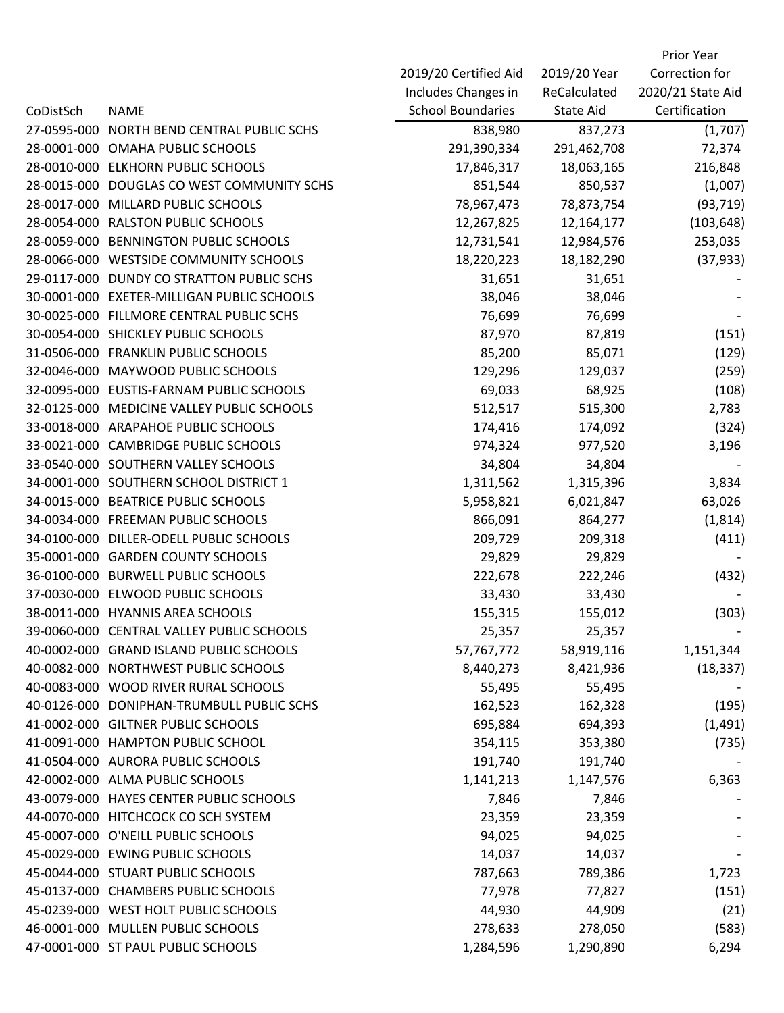|                  |                                            |                          |                  | Prior Year        |
|------------------|--------------------------------------------|--------------------------|------------------|-------------------|
|                  |                                            | 2019/20 Certified Aid    | 2019/20 Year     | Correction for    |
|                  |                                            | Includes Changes in      | ReCalculated     | 2020/21 State Aid |
| <b>CoDistSch</b> | <b>NAME</b>                                | <b>School Boundaries</b> | <b>State Aid</b> | Certification     |
| 27-0595-000      | NORTH BEND CENTRAL PUBLIC SCHS             | 838,980                  | 837,273          | (1,707)           |
| 28-0001-000      | OMAHA PUBLIC SCHOOLS                       | 291,390,334              | 291,462,708      | 72,374            |
| 28-0010-000      | <b>ELKHORN PUBLIC SCHOOLS</b>              | 17,846,317               | 18,063,165       | 216,848           |
| 28-0015-000      | DOUGLAS CO WEST COMMUNITY SCHS             | 851,544                  | 850,537          | (1,007)           |
| 28-0017-000      | MILLARD PUBLIC SCHOOLS                     | 78,967,473               | 78,873,754       | (93, 719)         |
| 28-0054-000      | <b>RALSTON PUBLIC SCHOOLS</b>              | 12,267,825               | 12,164,177       | (103, 648)        |
|                  | 28-0059-000 BENNINGTON PUBLIC SCHOOLS      | 12,731,541               | 12,984,576       | 253,035           |
|                  | 28-0066-000 WESTSIDE COMMUNITY SCHOOLS     | 18,220,223               | 18,182,290       | (37, 933)         |
|                  | 29-0117-000 DUNDY CO STRATTON PUBLIC SCHS  | 31,651                   | 31,651           |                   |
| 30-0001-000      | <b>EXETER-MILLIGAN PUBLIC SCHOOLS</b>      | 38,046                   | 38,046           |                   |
|                  | 30-0025-000 FILLMORE CENTRAL PUBLIC SCHS   | 76,699                   | 76,699           |                   |
|                  | 30-0054-000 SHICKLEY PUBLIC SCHOOLS        | 87,970                   | 87,819           | (151)             |
|                  | 31-0506-000 FRANKLIN PUBLIC SCHOOLS        | 85,200                   | 85,071           | (129)             |
|                  | 32-0046-000 MAYWOOD PUBLIC SCHOOLS         | 129,296                  | 129,037          | (259)             |
|                  | 32-0095-000 EUSTIS-FARNAM PUBLIC SCHOOLS   | 69,033                   | 68,925           | (108)             |
|                  | 32-0125-000 MEDICINE VALLEY PUBLIC SCHOOLS | 512,517                  | 515,300          | 2,783             |
| 33-0018-000      | <b>ARAPAHOE PUBLIC SCHOOLS</b>             | 174,416                  | 174,092          | (324)             |
|                  | 33-0021-000 CAMBRIDGE PUBLIC SCHOOLS       | 974,324                  | 977,520          | 3,196             |
|                  | 33-0540-000 SOUTHERN VALLEY SCHOOLS        | 34,804                   | 34,804           |                   |
|                  | 34-0001-000 SOUTHERN SCHOOL DISTRICT 1     | 1,311,562                | 1,315,396        | 3,834             |
|                  | 34-0015-000 BEATRICE PUBLIC SCHOOLS        | 5,958,821                | 6,021,847        | 63,026            |
|                  | 34-0034-000 FREEMAN PUBLIC SCHOOLS         | 866,091                  | 864,277          | (1,814)           |
|                  | 34-0100-000 DILLER-ODELL PUBLIC SCHOOLS    | 209,729                  | 209,318          | (411)             |
| 35-0001-000      | <b>GARDEN COUNTY SCHOOLS</b>               | 29,829                   | 29,829           |                   |
| 36-0100-000      | <b>BURWELL PUBLIC SCHOOLS</b>              | 222,678                  | 222,246          | (432)             |
| 37-0030-000      | ELWOOD PUBLIC SCHOOLS                      | 33,430                   | 33,430           |                   |
|                  | 38-0011-000 HYANNIS AREA SCHOOLS           | 155,315                  | 155,012          | (303)             |
| 39-0060-000      | CENTRAL VALLEY PUBLIC SCHOOLS              | 25,357                   | 25,357           |                   |
| 40-0002-000      | <b>GRAND ISLAND PUBLIC SCHOOLS</b>         | 57,767,772               | 58,919,116       | 1,151,344         |
|                  | 40-0082-000 NORTHWEST PUBLIC SCHOOLS       | 8,440,273                | 8,421,936        | (18, 337)         |
|                  | 40-0083-000 WOOD RIVER RURAL SCHOOLS       | 55,495                   | 55,495           |                   |
| 40-0126-000      | DONIPHAN-TRUMBULL PUBLIC SCHS              | 162,523                  | 162,328          | (195)             |
|                  | 41-0002-000 GILTNER PUBLIC SCHOOLS         | 695,884                  | 694,393          | (1, 491)          |
|                  | 41-0091-000 HAMPTON PUBLIC SCHOOL          | 354,115                  | 353,380          | (735)             |
|                  | 41-0504-000 AURORA PUBLIC SCHOOLS          | 191,740                  | 191,740          |                   |
|                  | 42-0002-000 ALMA PUBLIC SCHOOLS            | 1,141,213                | 1,147,576        | 6,363             |
|                  | 43-0079-000 HAYES CENTER PUBLIC SCHOOLS    | 7,846                    | 7,846            |                   |
|                  | 44-0070-000 HITCHCOCK CO SCH SYSTEM        | 23,359                   | 23,359           |                   |
|                  | 45-0007-000 O'NEILL PUBLIC SCHOOLS         | 94,025                   | 94,025           |                   |
|                  | 45-0029-000 EWING PUBLIC SCHOOLS           | 14,037                   | 14,037           |                   |
|                  | 45-0044-000 STUART PUBLIC SCHOOLS          | 787,663                  | 789,386          | 1,723             |
|                  | 45-0137-000 CHAMBERS PUBLIC SCHOOLS        | 77,978                   | 77,827           | (151)             |
|                  | 45-0239-000 WEST HOLT PUBLIC SCHOOLS       | 44,930                   | 44,909           | (21)              |
|                  | 46-0001-000 MULLEN PUBLIC SCHOOLS          | 278,633                  | 278,050          | (583)             |
|                  | 47-0001-000 ST PAUL PUBLIC SCHOOLS         | 1,284,596                | 1,290,890        | 6,294             |
|                  |                                            |                          |                  |                   |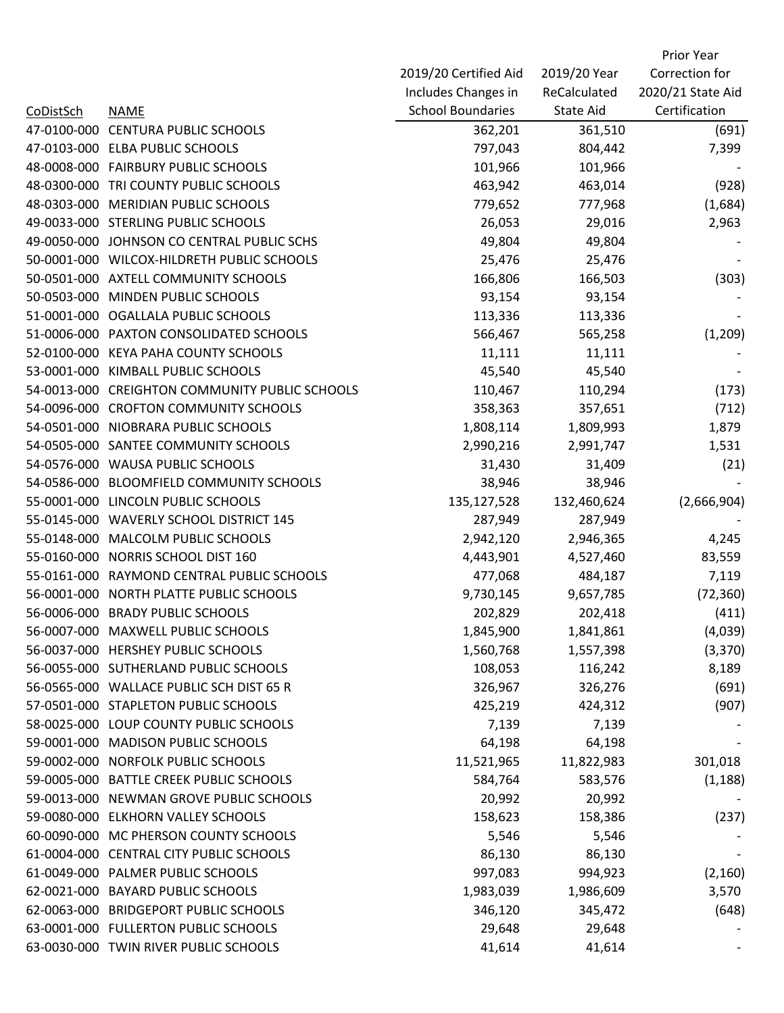|                  |                                            |                          |              | Prior Year        |
|------------------|--------------------------------------------|--------------------------|--------------|-------------------|
|                  |                                            | 2019/20 Certified Aid    | 2019/20 Year | Correction for    |
|                  |                                            | Includes Changes in      | ReCalculated | 2020/21 State Aid |
| <b>CoDistSch</b> | <b>NAME</b>                                | <b>School Boundaries</b> | State Aid    | Certification     |
| 47-0100-000      | <b>CENTURA PUBLIC SCHOOLS</b>              | 362,201                  | 361,510      | (691)             |
|                  | 47-0103-000 ELBA PUBLIC SCHOOLS            | 797,043                  | 804,442      | 7,399             |
|                  | 48-0008-000 FAIRBURY PUBLIC SCHOOLS        | 101,966                  | 101,966      |                   |
|                  | 48-0300-000 TRI COUNTY PUBLIC SCHOOLS      | 463,942                  | 463,014      | (928)             |
| 48-0303-000      | <b>MERIDIAN PUBLIC SCHOOLS</b>             | 779,652                  | 777,968      | (1,684)           |
|                  | 49-0033-000 STERLING PUBLIC SCHOOLS        | 26,053                   | 29,016       | 2,963             |
|                  | 49-0050-000 JOHNSON CO CENTRAL PUBLIC SCHS | 49,804                   | 49,804       |                   |
|                  | 50-0001-000 WILCOX-HILDRETH PUBLIC SCHOOLS | 25,476                   | 25,476       |                   |
|                  | 50-0501-000 AXTELL COMMUNITY SCHOOLS       | 166,806                  | 166,503      | (303)             |
| 50-0503-000      | MINDEN PUBLIC SCHOOLS                      | 93,154                   | 93,154       |                   |
|                  | 51-0001-000 OGALLALA PUBLIC SCHOOLS        | 113,336                  | 113,336      |                   |
|                  | 51-0006-000 PAXTON CONSOLIDATED SCHOOLS    | 566,467                  | 565,258      | (1,209)           |
|                  | 52-0100-000 KEYA PAHA COUNTY SCHOOLS       | 11,111                   | 11,111       |                   |
|                  | 53-0001-000 KIMBALL PUBLIC SCHOOLS         | 45,540                   | 45,540       |                   |
| 54-0013-000      | <b>CREIGHTON COMMUNITY PUBLIC SCHOOLS</b>  | 110,467                  | 110,294      | (173)             |
|                  | 54-0096-000 CROFTON COMMUNITY SCHOOLS      | 358,363                  | 357,651      | (712)             |
| 54-0501-000      | NIOBRARA PUBLIC SCHOOLS                    | 1,808,114                | 1,809,993    | 1,879             |
| 54-0505-000      | SANTEE COMMUNITY SCHOOLS                   | 2,990,216                | 2,991,747    | 1,531             |
|                  | 54-0576-000 WAUSA PUBLIC SCHOOLS           | 31,430                   | 31,409       | (21)              |
| 54-0586-000      | <b>BLOOMFIELD COMMUNITY SCHOOLS</b>        | 38,946                   | 38,946       |                   |
|                  | 55-0001-000 LINCOLN PUBLIC SCHOOLS         | 135,127,528              | 132,460,624  | (2,666,904)       |
|                  | 55-0145-000 WAVERLY SCHOOL DISTRICT 145    | 287,949                  | 287,949      |                   |
|                  | 55-0148-000 MALCOLM PUBLIC SCHOOLS         | 2,942,120                | 2,946,365    | 4,245             |
| 55-0160-000      | NORRIS SCHOOL DIST 160                     | 4,443,901                | 4,527,460    | 83,559            |
| 55-0161-000      | RAYMOND CENTRAL PUBLIC SCHOOLS             | 477,068                  | 484,187      | 7,119             |
| 56-0001-000      | NORTH PLATTE PUBLIC SCHOOLS                | 9,730,145                | 9,657,785    | (72, 360)         |
| 56-0006-000      | <b>BRADY PUBLIC SCHOOLS</b>                | 202,829                  | 202,418      | (411)             |
|                  | 56-0007-000 MAXWELL PUBLIC SCHOOLS         | 1,845,900                | 1,841,861    | (4,039)           |
|                  | 56-0037-000 HERSHEY PUBLIC SCHOOLS         | 1,560,768                | 1,557,398    | (3, 370)          |
|                  | 56-0055-000 SUTHERLAND PUBLIC SCHOOLS      | 108,053                  | 116,242      | 8,189             |
|                  | 56-0565-000 WALLACE PUBLIC SCH DIST 65 R   | 326,967                  | 326,276      | (691)             |
|                  | 57-0501-000 STAPLETON PUBLIC SCHOOLS       | 425,219                  | 424,312      | (907)             |
|                  | 58-0025-000 LOUP COUNTY PUBLIC SCHOOLS     | 7,139                    | 7,139        |                   |
| 59-0001-000      | <b>MADISON PUBLIC SCHOOLS</b>              | 64,198                   | 64,198       |                   |
|                  | 59-0002-000 NORFOLK PUBLIC SCHOOLS         | 11,521,965               | 11,822,983   | 301,018           |
| 59-0005-000      | <b>BATTLE CREEK PUBLIC SCHOOLS</b>         | 584,764                  | 583,576      | (1, 188)          |
| 59-0013-000      | NEWMAN GROVE PUBLIC SCHOOLS                | 20,992                   | 20,992       |                   |
|                  | 59-0080-000 ELKHORN VALLEY SCHOOLS         | 158,623                  | 158,386      | (237)             |
|                  | 60-0090-000 MC PHERSON COUNTY SCHOOLS      | 5,546                    | 5,546        |                   |
|                  | 61-0004-000 CENTRAL CITY PUBLIC SCHOOLS    | 86,130                   | 86,130       |                   |
|                  | 61-0049-000 PALMER PUBLIC SCHOOLS          | 997,083                  | 994,923      | (2, 160)          |
|                  | 62-0021-000 BAYARD PUBLIC SCHOOLS          | 1,983,039                | 1,986,609    | 3,570             |
| 62-0063-000      | <b>BRIDGEPORT PUBLIC SCHOOLS</b>           | 346,120                  | 345,472      | (648)             |
|                  | 63-0001-000 FULLERTON PUBLIC SCHOOLS       | 29,648                   | 29,648       |                   |
|                  | 63-0030-000 TWIN RIVER PUBLIC SCHOOLS      | 41,614                   | 41,614       |                   |
|                  |                                            |                          |              |                   |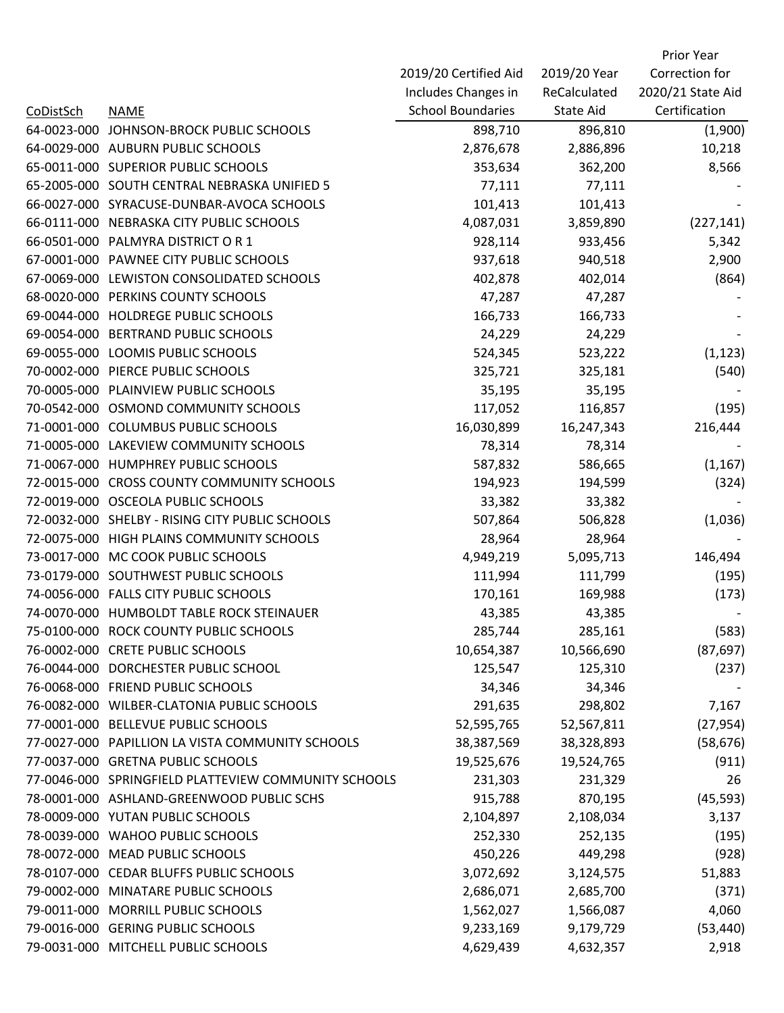|                  |                                                      |                          |              | Prior Year        |
|------------------|------------------------------------------------------|--------------------------|--------------|-------------------|
|                  |                                                      | 2019/20 Certified Aid    | 2019/20 Year | Correction for    |
|                  |                                                      | Includes Changes in      | ReCalculated | 2020/21 State Aid |
| <b>CoDistSch</b> | <b>NAME</b>                                          | <b>School Boundaries</b> | State Aid    | Certification     |
| 64-0023-000      | JOHNSON-BROCK PUBLIC SCHOOLS                         | 898,710                  | 896,810      | (1,900)           |
|                  | 64-0029-000 AUBURN PUBLIC SCHOOLS                    | 2,876,678                | 2,886,896    | 10,218            |
|                  | 65-0011-000 SUPERIOR PUBLIC SCHOOLS                  | 353,634                  | 362,200      | 8,566             |
|                  | 65-2005-000 SOUTH CENTRAL NEBRASKA UNIFIED 5         | 77,111                   | 77,111       |                   |
| 66-0027-000      | SYRACUSE-DUNBAR-AVOCA SCHOOLS                        | 101,413                  | 101,413      |                   |
| 66-0111-000      | NEBRASKA CITY PUBLIC SCHOOLS                         | 4,087,031                | 3,859,890    | (227, 141)        |
|                  | 66-0501-000 PALMYRA DISTRICT OR 1                    | 928,114                  | 933,456      | 5,342             |
| 67-0001-000      | PAWNEE CITY PUBLIC SCHOOLS                           | 937,618                  | 940,518      | 2,900             |
| 67-0069-000      | LEWISTON CONSOLIDATED SCHOOLS                        | 402,878                  | 402,014      | (864)             |
| 68-0020-000      | PERKINS COUNTY SCHOOLS                               | 47,287                   | 47,287       |                   |
| 69-0044-000      | HOLDREGE PUBLIC SCHOOLS                              | 166,733                  | 166,733      |                   |
| 69-0054-000      | BERTRAND PUBLIC SCHOOLS                              | 24,229                   | 24,229       |                   |
| 69-0055-000      | LOOMIS PUBLIC SCHOOLS                                | 524,345                  | 523,222      | (1, 123)          |
| 70-0002-000      | PIERCE PUBLIC SCHOOLS                                | 325,721                  | 325,181      | (540)             |
| 70-0005-000      | PLAINVIEW PUBLIC SCHOOLS                             | 35,195                   | 35,195       |                   |
|                  | 70-0542-000 OSMOND COMMUNITY SCHOOLS                 | 117,052                  | 116,857      | (195)             |
| 71-0001-000      | <b>COLUMBUS PUBLIC SCHOOLS</b>                       | 16,030,899               | 16,247,343   | 216,444           |
| 71-0005-000      | LAKEVIEW COMMUNITY SCHOOLS                           | 78,314                   | 78,314       |                   |
| 71-0067-000      | HUMPHREY PUBLIC SCHOOLS                              | 587,832                  | 586,665      | (1, 167)          |
| 72-0015-000      | <b>CROSS COUNTY COMMUNITY SCHOOLS</b>                | 194,923                  | 194,599      | (324)             |
|                  | 72-0019-000 OSCEOLA PUBLIC SCHOOLS                   | 33,382                   | 33,382       |                   |
|                  | 72-0032-000 SHELBY - RISING CITY PUBLIC SCHOOLS      | 507,864                  | 506,828      | (1,036)           |
| 72-0075-000      | HIGH PLAINS COMMUNITY SCHOOLS                        | 28,964                   | 28,964       |                   |
| 73-0017-000      | MC COOK PUBLIC SCHOOLS                               | 4,949,219                | 5,095,713    | 146,494           |
| 73-0179-000      | SOUTHWEST PUBLIC SCHOOLS                             | 111,994                  | 111,799      | (195)             |
|                  | 74-0056-000 FALLS CITY PUBLIC SCHOOLS                | 170,161                  | 169,988      | (173)             |
|                  | 74-0070-000 HUMBOLDT TABLE ROCK STEINAUER            | 43,385                   | 43,385       |                   |
| 75-0100-000      | ROCK COUNTY PUBLIC SCHOOLS                           | 285,744                  | 285,161      | (583)             |
| 76-0002-000      | <b>CRETE PUBLIC SCHOOLS</b>                          | 10,654,387               | 10,566,690   | (87, 697)         |
|                  | 76-0044-000 DORCHESTER PUBLIC SCHOOL                 | 125,547                  | 125,310      | (237)             |
|                  | 76-0068-000 FRIEND PUBLIC SCHOOLS                    | 34,346                   | 34,346       |                   |
|                  | 76-0082-000 WILBER-CLATONIA PUBLIC SCHOOLS           | 291,635                  | 298,802      | 7,167             |
|                  | 77-0001-000 BELLEVUE PUBLIC SCHOOLS                  | 52,595,765               | 52,567,811   | (27, 954)         |
|                  | 77-0027-000 PAPILLION LA VISTA COMMUNITY SCHOOLS     | 38,387,569               | 38,328,893   | (58, 676)         |
|                  | 77-0037-000 GRETNA PUBLIC SCHOOLS                    | 19,525,676               | 19,524,765   | (911)             |
|                  | 77-0046-000 SPRINGFIELD PLATTEVIEW COMMUNITY SCHOOLS | 231,303                  | 231,329      | 26                |
|                  | 78-0001-000 ASHLAND-GREENWOOD PUBLIC SCHS            | 915,788                  | 870,195      | (45, 593)         |
|                  | 78-0009-000 YUTAN PUBLIC SCHOOLS                     | 2,104,897                | 2,108,034    | 3,137             |
|                  | 78-0039-000 WAHOO PUBLIC SCHOOLS                     | 252,330                  | 252,135      | (195)             |
|                  | 78-0072-000 MEAD PUBLIC SCHOOLS                      | 450,226                  | 449,298      | (928)             |
|                  | 78-0107-000 CEDAR BLUFFS PUBLIC SCHOOLS              | 3,072,692                | 3,124,575    | 51,883            |
| 79-0002-000      | MINATARE PUBLIC SCHOOLS                              | 2,686,071                | 2,685,700    | (371)             |
| 79-0011-000      | MORRILL PUBLIC SCHOOLS                               | 1,562,027                | 1,566,087    | 4,060             |
|                  | 79-0016-000 GERING PUBLIC SCHOOLS                    | 9,233,169                | 9,179,729    | (53, 440)         |
|                  | 79-0031-000 MITCHELL PUBLIC SCHOOLS                  | 4,629,439                | 4,632,357    | 2,918             |
|                  |                                                      |                          |              |                   |